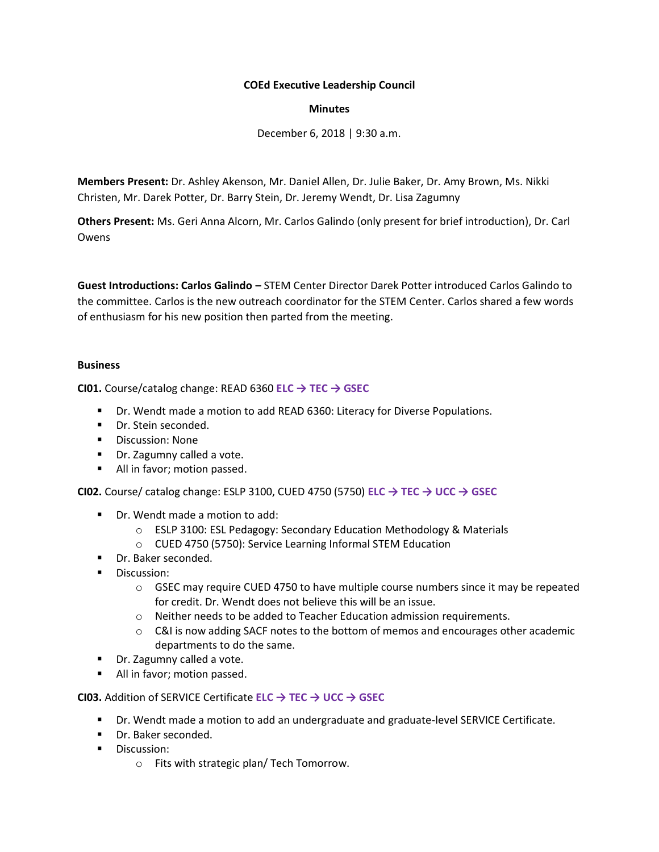## **COEd Executive Leadership Council**

## **Minutes**

December 6, 2018 | 9:30 a.m.

**Members Present:** Dr. Ashley Akenson, Mr. Daniel Allen, Dr. Julie Baker, Dr. Amy Brown, Ms. Nikki Christen, Mr. Darek Potter, Dr. Barry Stein, Dr. Jeremy Wendt, Dr. Lisa Zagumny

**Others Present:** Ms. Geri Anna Alcorn, Mr. Carlos Galindo (only present for brief introduction), Dr. Carl Owens

**Guest Introductions: Carlos Galindo –** STEM Center Director Darek Potter introduced Carlos Galindo to the committee. Carlos is the new outreach coordinator for the STEM Center. Carlos shared a few words of enthusiasm for his new position then parted from the meeting.

## **Business**

**CI01.** Course/catalog change: READ 6360 **ELC → TEC → GSEC**

- Dr. Wendt made a motion to add READ 6360: Literacy for Diverse Populations.
- Dr. Stein seconded.
- Discussion: None
- Dr. Zagumny called a vote.
- All in favor; motion passed.

**CI02.** Course/ catalog change: ESLP 3100, CUED 4750 (5750) **ELC → TEC → UCC → GSEC**

- Dr. Wendt made a motion to add:
	- o ESLP 3100: ESL Pedagogy: Secondary Education Methodology & Materials
	- o CUED 4750 (5750): Service Learning Informal STEM Education
- Dr. Baker seconded.
- Discussion:
	- $\circ$  GSEC may require CUED 4750 to have multiple course numbers since it may be repeated for credit. Dr. Wendt does not believe this will be an issue.
	- $\circ$  Neither needs to be added to Teacher Education admission requirements.
	- $\circ$  C&I is now adding SACF notes to the bottom of memos and encourages other academic departments to do the same.
- Dr. Zagumny called a vote.
- All in favor; motion passed.

**CI03.** Addition of SERVICE Certificate **ELC → TEC → UCC → GSEC**

- Dr. Wendt made a motion to add an undergraduate and graduate-level SERVICE Certificate.
- Dr. Baker seconded.
- **■** Discussion:
	- o Fits with strategic plan/ Tech Tomorrow.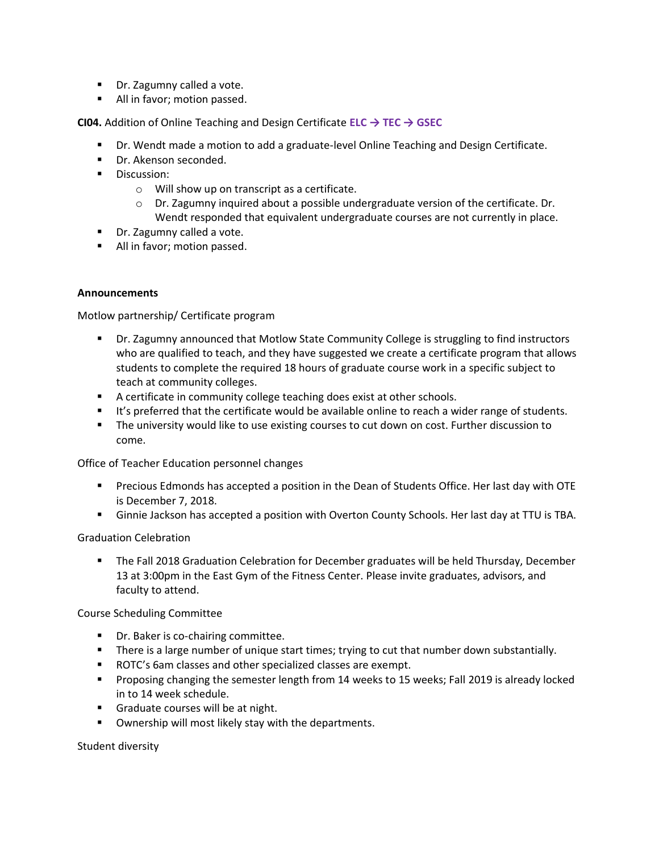- Dr. Zagumny called a vote.
- All in favor; motion passed.

**CI04.** Addition of Online Teaching and Design Certificate **ELC → TEC → GSEC**

- Dr. Wendt made a motion to add a graduate-level Online Teaching and Design Certificate.
- Dr. Akenson seconded.
- Discussion:
	- o Will show up on transcript as a certificate.
	- $\circ$  Dr. Zagumny inquired about a possible undergraduate version of the certificate. Dr. Wendt responded that equivalent undergraduate courses are not currently in place.
- Dr. Zagumny called a vote.
- All in favor; motion passed.

## **Announcements**

Motlow partnership/ Certificate program

- Dr. Zagumny announced that Motlow State Community College is struggling to find instructors who are qualified to teach, and they have suggested we create a certificate program that allows students to complete the required 18 hours of graduate course work in a specific subject to teach at community colleges.
- A certificate in community college teaching does exist at other schools.
- **■** It's preferred that the certificate would be available online to reach a wider range of students.
- The university would like to use existing courses to cut down on cost. Further discussion to come.

Office of Teacher Education personnel changes

- Precious Edmonds has accepted a position in the Dean of Students Office. Her last day with OTE is December 7, 2018.
- **EXEDENT A Ginnie Jackson has accepted a position with Overton County Schools. Her last day at TTU is TBA.**

Graduation Celebration

■ The Fall 2018 Graduation Celebration for December graduates will be held Thursday, December 13 at 3:00pm in the East Gym of the Fitness Center. Please invite graduates, advisors, and faculty to attend.

Course Scheduling Committee

- Dr. Baker is co-chairing committee.
- There is a large number of unique start times; trying to cut that number down substantially.
- ROTC's 6am classes and other specialized classes are exempt.
- **•** Proposing changing the semester length from 14 weeks to 15 weeks; Fall 2019 is already locked in to 14 week schedule.
- Graduate courses will be at night.
- Ownership will most likely stay with the departments.

Student diversity